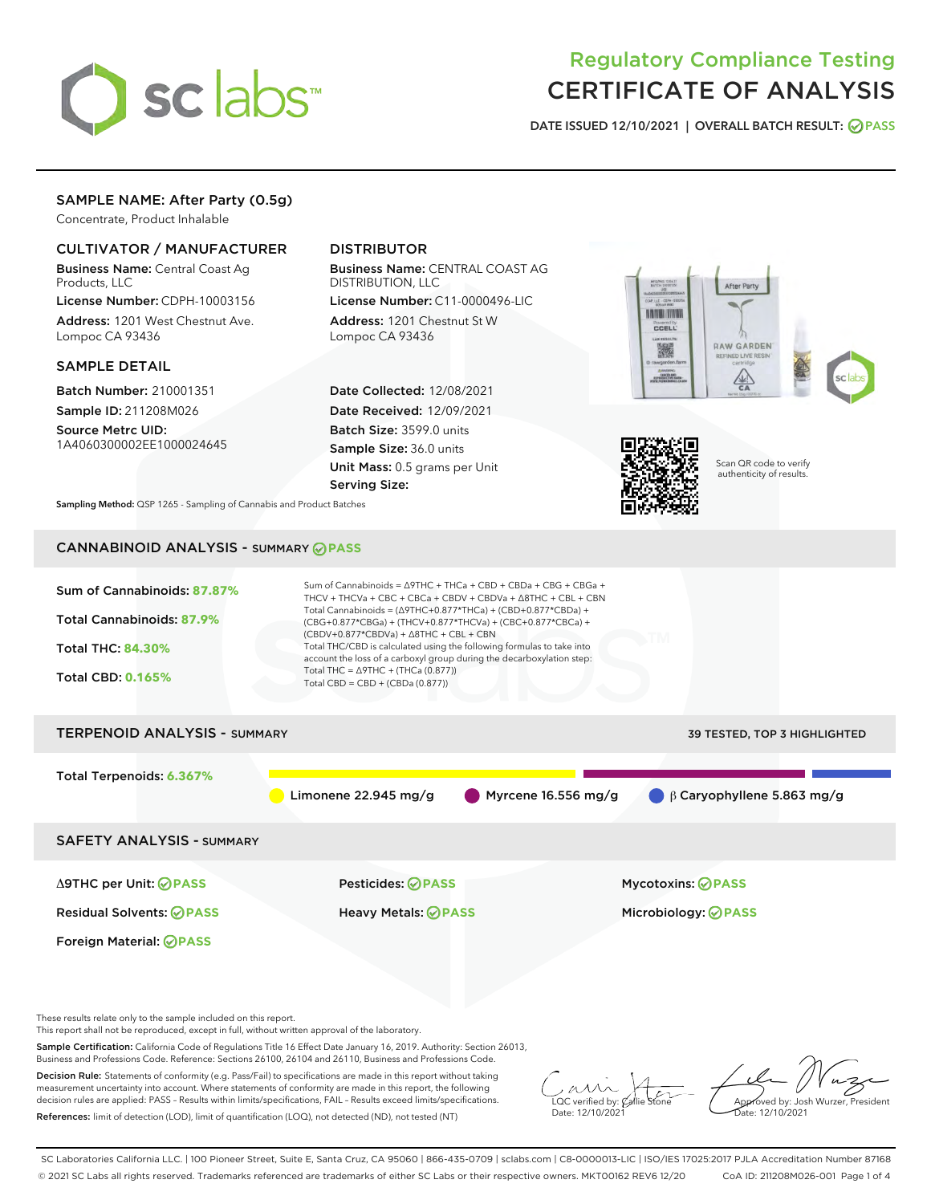

# Regulatory Compliance Testing CERTIFICATE OF ANALYSIS

DATE ISSUED 12/10/2021 | OVERALL BATCH RESULT: @ PASS

## SAMPLE NAME: After Party (0.5g)

Concentrate, Product Inhalable

## CULTIVATOR / MANUFACTURER

Business Name: Central Coast Ag Products, LLC

License Number: CDPH-10003156 Address: 1201 West Chestnut Ave. Lompoc CA 93436

#### SAMPLE DETAIL

Batch Number: 210001351 Sample ID: 211208M026

Source Metrc UID: 1A4060300002EE1000024645

## DISTRIBUTOR

Business Name: CENTRAL COAST AG DISTRIBUTION, LLC

License Number: C11-0000496-LIC Address: 1201 Chestnut St W Lompoc CA 93436

Date Collected: 12/08/2021 Date Received: 12/09/2021 Batch Size: 3599.0 units Sample Size: 36.0 units Unit Mass: 0.5 grams per Unit Serving Size:





Scan QR code to verify authenticity of results.

Sampling Method: QSP 1265 - Sampling of Cannabis and Product Batches

## CANNABINOID ANALYSIS - SUMMARY **PASS**



This report shall not be reproduced, except in full, without written approval of the laboratory.

Sample Certification: California Code of Regulations Title 16 Effect Date January 16, 2019. Authority: Section 26013, Business and Professions Code. Reference: Sections 26100, 26104 and 26110, Business and Professions Code.

Decision Rule: Statements of conformity (e.g. Pass/Fail) to specifications are made in this report without taking measurement uncertainty into account. Where statements of conformity are made in this report, the following decision rules are applied: PASS – Results within limits/specifications, FAIL – Results exceed limits/specifications. References: limit of detection (LOD), limit of quantification (LOQ), not detected (ND), not tested (NT)

 $\overline{\text{C}}$  verified by:  $\mathcal C$ Date: 12/10/2021

**A**<br>Approved by: Josh Wurzer, President ate: 12/10/2021

SC Laboratories California LLC. | 100 Pioneer Street, Suite E, Santa Cruz, CA 95060 | 866-435-0709 | sclabs.com | C8-0000013-LIC | ISO/IES 17025:2017 PJLA Accreditation Number 87168 © 2021 SC Labs all rights reserved. Trademarks referenced are trademarks of either SC Labs or their respective owners. MKT00162 REV6 12/20 CoA ID: 211208M026-001 Page 1 of 4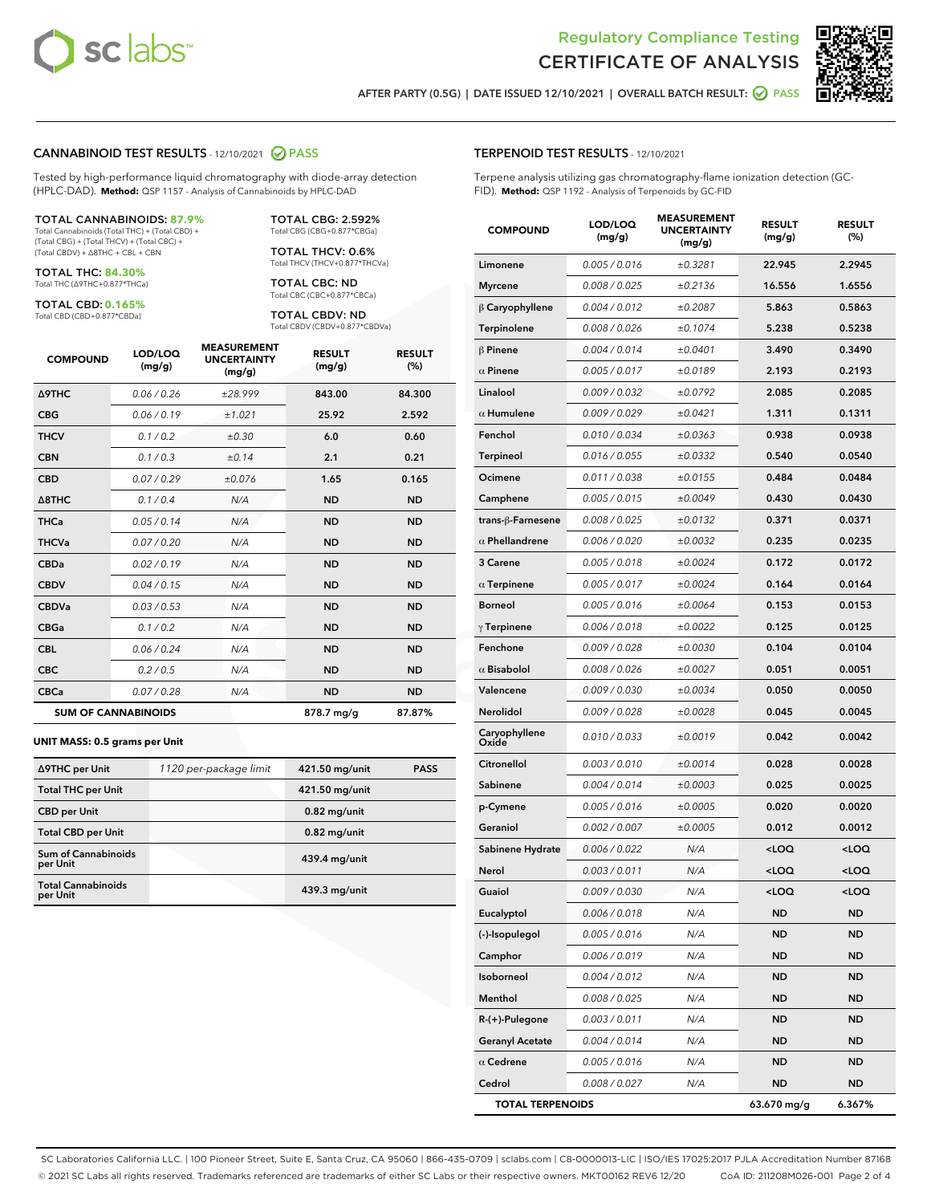

Terpene analysis utilizing gas chromatography-flame ionization detection (GC-



AFTER PARTY (0.5G) | DATE ISSUED 12/10/2021 | OVERALL BATCH RESULT:  $\bigcirc$  PASS

TERPENOID TEST RESULTS - 12/10/2021

FID). **Method:** QSP 1192 - Analysis of Terpenoids by GC-FID

#### CANNABINOID TEST RESULTS - 12/10/2021 2 PASS

Tested by high-performance liquid chromatography with diode-array detection (HPLC-DAD). **Method:** QSP 1157 - Analysis of Cannabinoids by HPLC-DAD

#### TOTAL CANNABINOIDS: **87.9%**

Total Cannabinoids (Total THC) + (Total CBD) + (Total CBG) + (Total THCV) + (Total CBC) + (Total CBDV) + ∆8THC + CBL + CBN

TOTAL THC: **84.30%** Total THC (∆9THC+0.877\*THCa)

TOTAL CBD: **0.165%**

Total CBD (CBD+0.877\*CBDa)

TOTAL CBG: 2.592% Total CBG (CBG+0.877\*CBGa)

TOTAL THCV: 0.6% Total THCV (THCV+0.877\*THCVa)

TOTAL CBC: ND Total CBC (CBC+0.877\*CBCa)

TOTAL CBDV: ND Total CBDV (CBDV+0.877\*CBDVa)

| <b>COMPOUND</b>            | LOD/LOQ<br>(mg/g) | <b>MEASUREMENT</b><br><b>UNCERTAINTY</b><br>(mg/g) | <b>RESULT</b><br>(mg/g) | <b>RESULT</b><br>(%) |
|----------------------------|-------------------|----------------------------------------------------|-------------------------|----------------------|
| <b>A9THC</b>               | 0.06/0.26         | ±28.999                                            | 843.00                  | 84.300               |
| <b>CBG</b>                 | 0.06/0.19         | ±1.021                                             | 25.92                   | 2.592                |
| <b>THCV</b>                | 0.1/0.2           | ±0.30                                              | 6.0                     | 0.60                 |
| <b>CBN</b>                 | 0.1/0.3           | ±0.14                                              | 2.1                     | 0.21                 |
| <b>CBD</b>                 | 0.07/0.29         | ±0.076                                             | 1.65                    | 0.165                |
| $\triangle$ 8THC           | 0.1/0.4           | N/A                                                | <b>ND</b>               | <b>ND</b>            |
| <b>THCa</b>                | 0.05/0.14         | N/A                                                | <b>ND</b>               | <b>ND</b>            |
| <b>THCVa</b>               | 0.07/0.20         | N/A                                                | <b>ND</b>               | <b>ND</b>            |
| <b>CBDa</b>                | 0.02/0.19         | N/A                                                | <b>ND</b>               | <b>ND</b>            |
| <b>CBDV</b>                | 0.04 / 0.15       | N/A                                                | <b>ND</b>               | <b>ND</b>            |
| <b>CBDVa</b>               | 0.03 / 0.53       | N/A                                                | <b>ND</b>               | <b>ND</b>            |
| <b>CBGa</b>                | 0.1/0.2           | N/A                                                | <b>ND</b>               | <b>ND</b>            |
| <b>CBL</b>                 | 0.06 / 0.24       | N/A                                                | <b>ND</b>               | <b>ND</b>            |
| <b>CBC</b>                 | 0.2 / 0.5         | N/A                                                | <b>ND</b>               | <b>ND</b>            |
| <b>CBCa</b>                | 0.07/0.28         | N/A                                                | <b>ND</b>               | <b>ND</b>            |
| <b>SUM OF CANNABINOIDS</b> |                   |                                                    | 878.7 mg/g              | 87.87%               |

#### **UNIT MASS: 0.5 grams per Unit**

| ∆9THC per Unit                         | 1120 per-package limit | 421.50 mg/unit | <b>PASS</b> |
|----------------------------------------|------------------------|----------------|-------------|
| <b>Total THC per Unit</b>              |                        | 421.50 mg/unit |             |
| <b>CBD</b> per Unit                    |                        | $0.82$ mg/unit |             |
| <b>Total CBD per Unit</b>              |                        | $0.82$ mg/unit |             |
| <b>Sum of Cannabinoids</b><br>per Unit |                        | 439.4 mg/unit  |             |
| <b>Total Cannabinoids</b><br>per Unit  |                        | 439.3 mg/unit  |             |

| <b>COMPOUND</b>         | LOD/LOQ<br>(mg/g) | <b>MEASUREMENT</b><br><b>UNCERTAINTY</b><br>(mg/g) | <b>RESULT</b><br>(mg/g)                          | <b>RESULT</b><br>$(\%)$ |
|-------------------------|-------------------|----------------------------------------------------|--------------------------------------------------|-------------------------|
| Limonene                | 0.005 / 0.016     | ±0.3281                                            | 22.945                                           | 2.2945                  |
| <b>Myrcene</b>          | 0.008 / 0.025     | ±0.2136                                            | 16.556                                           | 1.6556                  |
| $\upbeta$ Caryophyllene | 0.004 / 0.012     | ±0.2087                                            | 5.863                                            | 0.5863                  |
| Terpinolene             | 0.008 / 0.026     | ±0.1074                                            | 5.238                                            | 0.5238                  |
| $\beta$ Pinene          | 0.004 / 0.014     | ±0.0401                                            | 3.490                                            | 0.3490                  |
| $\alpha$ Pinene         | 0.005 / 0.017     | ±0.0189                                            | 2.193                                            | 0.2193                  |
| Linalool                | 0.009 / 0.032     | ±0.0792                                            | 2.085                                            | 0.2085                  |
| $\alpha$ Humulene       | 0.009 / 0.029     | ±0.0421                                            | 1.311                                            | 0.1311                  |
| Fenchol                 | 0.010 / 0.034     | ±0.0363                                            | 0.938                                            | 0.0938                  |
| Terpineol               | 0.016 / 0.055     | ±0.0332                                            | 0.540                                            | 0.0540                  |
| Ocimene                 | 0.011/0.038       | ±0.0155                                            | 0.484                                            | 0.0484                  |
| Camphene                | 0.005 / 0.015     | ±0.0049                                            | 0.430                                            | 0.0430                  |
| trans-ß-Farnesene       | 0.008 / 0.025     | ±0.0132                                            | 0.371                                            | 0.0371                  |
| $\alpha$ Phellandrene   | 0.006 / 0.020     | ±0.0032                                            | 0.235                                            | 0.0235                  |
| 3 Carene                | 0.005 / 0.018     | ±0.0024                                            | 0.172                                            | 0.0172                  |
| $\alpha$ Terpinene      | 0.005 / 0.017     | ±0.0024                                            | 0.164                                            | 0.0164                  |
| <b>Borneol</b>          | 0.005 / 0.016     | ±0.0064                                            | 0.153                                            | 0.0153                  |
| $\gamma$ Terpinene      | 0.006 / 0.018     | ±0.0022                                            | 0.125                                            | 0.0125                  |
| Fenchone                | 0.009 / 0.028     | ±0.0030                                            | 0.104                                            | 0.0104                  |
| $\alpha$ Bisabolol      | 0.008 / 0.026     | ±0.0027                                            | 0.051                                            | 0.0051                  |
| Valencene               | 0.009 / 0.030     | ±0.0034                                            | 0.050                                            | 0.0050                  |
| Nerolidol               | 0.009 / 0.028     | ±0.0028                                            | 0.045                                            | 0.0045                  |
| Caryophyllene<br>Oxide  | 0.010 / 0.033     | ±0.0019                                            | 0.042                                            | 0.0042                  |
| Citronellol             | 0.003 / 0.010     | ±0.0014                                            | 0.028                                            | 0.0028                  |
| Sabinene                | 0.004 / 0.014     | ±0.0003                                            | 0.025                                            | 0.0025                  |
| p-Cymene                | 0.005 / 0.016     | ±0.0005                                            | 0.020                                            | 0.0020                  |
| Geraniol                | 0.002 / 0.007     | ±0.0005                                            | 0.012                                            | 0.0012                  |
| Sabinene Hydrate        | 0.006 / 0.022     | N/A                                                | <loq< th=""><th><math>&lt;</math>LOQ</th></loq<> | $<$ LOQ                 |
| Nerol                   | 0.003 / 0.011     | N/A                                                | <loq< th=""><th><loq< th=""></loq<></th></loq<>  | <loq< th=""></loq<>     |
| Guaiol                  | 0.009 / 0.030     | N/A                                                | <loq< th=""><th><loq< th=""></loq<></th></loq<>  | <loq< th=""></loq<>     |
| Eucalyptol              | 0.006 / 0.018     | N/A                                                | ND                                               | ND                      |
| (-)-Isopulegol          | 0.005 / 0.016     | N/A                                                | ND                                               | ND                      |
| Camphor                 | 0.006 / 0.019     | N/A                                                | ND                                               | ND                      |
| Isoborneol              | 0.004 / 0.012     | N/A                                                | ND                                               | ND                      |
| Menthol                 | 0.008 / 0.025     | N/A                                                | ND                                               | ND                      |
| R-(+)-Pulegone          | 0.003 / 0.011     | N/A                                                | ND                                               | ND                      |
| <b>Geranyl Acetate</b>  | 0.004 / 0.014     | N/A                                                | ND                                               | ND                      |
| $\alpha$ Cedrene        | 0.005 / 0.016     | N/A                                                | ND                                               | ND                      |
| Cedrol                  | 0.008 / 0.027     | N/A                                                | ND                                               | ND                      |
| <b>TOTAL TERPENOIDS</b> |                   |                                                    | 63.670 mg/g                                      | 6.367%                  |

SC Laboratories California LLC. | 100 Pioneer Street, Suite E, Santa Cruz, CA 95060 | 866-435-0709 | sclabs.com | C8-0000013-LIC | ISO/IES 17025:2017 PJLA Accreditation Number 87168 © 2021 SC Labs all rights reserved. Trademarks referenced are trademarks of either SC Labs or their respective owners. MKT00162 REV6 12/20 CoA ID: 211208M026-001 Page 2 of 4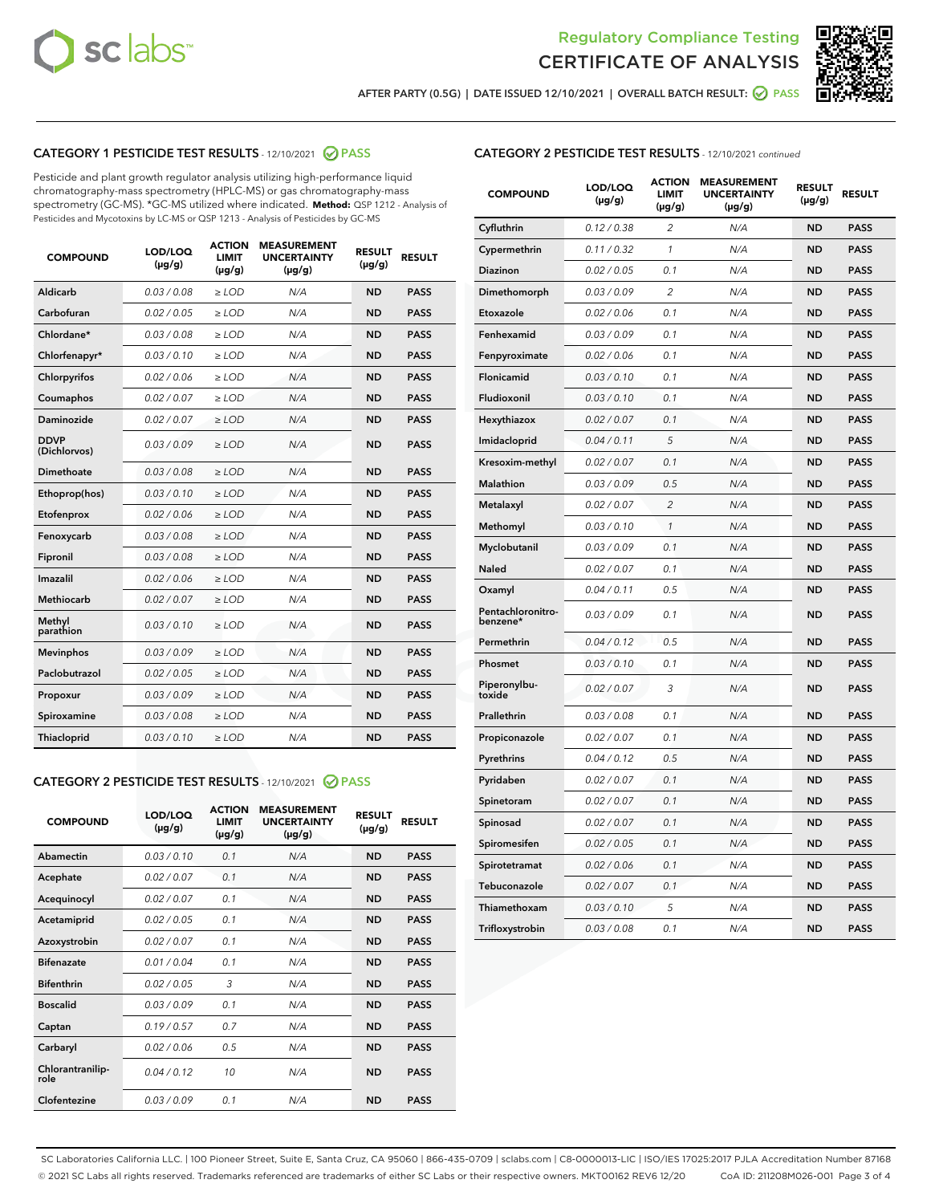



AFTER PARTY (0.5G) | DATE ISSUED 12/10/2021 | OVERALL BATCH RESULT: 2 PASS

## CATEGORY 1 PESTICIDE TEST RESULTS - 12/10/2021 2 PASS

Pesticide and plant growth regulator analysis utilizing high-performance liquid chromatography-mass spectrometry (HPLC-MS) or gas chromatography-mass spectrometry (GC-MS). \*GC-MS utilized where indicated. **Method:** QSP 1212 - Analysis of Pesticides and Mycotoxins by LC-MS or QSP 1213 - Analysis of Pesticides by GC-MS

| <b>COMPOUND</b>             | LOD/LOQ<br>$(\mu g/g)$ | <b>ACTION</b><br><b>LIMIT</b><br>$(\mu g/g)$ | <b>MEASUREMENT</b><br><b>UNCERTAINTY</b><br>$(\mu g/g)$ | <b>RESULT</b><br>$(\mu g/g)$ | <b>RESULT</b> |
|-----------------------------|------------------------|----------------------------------------------|---------------------------------------------------------|------------------------------|---------------|
| Aldicarb                    | 0.03 / 0.08            | $\ge$ LOD                                    | N/A                                                     | <b>ND</b>                    | <b>PASS</b>   |
| Carbofuran                  | 0.02/0.05              | $>$ LOD                                      | N/A                                                     | <b>ND</b>                    | <b>PASS</b>   |
| Chlordane*                  | 0.03 / 0.08            | $\ge$ LOD                                    | N/A                                                     | <b>ND</b>                    | <b>PASS</b>   |
| Chlorfenapyr*               | 0.03/0.10              | $\ge$ LOD                                    | N/A                                                     | <b>ND</b>                    | <b>PASS</b>   |
| Chlorpyrifos                | 0.02 / 0.06            | $\ge$ LOD                                    | N/A                                                     | <b>ND</b>                    | <b>PASS</b>   |
| Coumaphos                   | 0.02 / 0.07            | $\ge$ LOD                                    | N/A                                                     | <b>ND</b>                    | <b>PASS</b>   |
| Daminozide                  | 0.02/0.07              | $>$ LOD                                      | N/A                                                     | <b>ND</b>                    | <b>PASS</b>   |
| <b>DDVP</b><br>(Dichlorvos) | 0.03/0.09              | $\ge$ LOD                                    | N/A                                                     | <b>ND</b>                    | <b>PASS</b>   |
| Dimethoate                  | 0.03 / 0.08            | $\ge$ LOD                                    | N/A                                                     | <b>ND</b>                    | <b>PASS</b>   |
| Ethoprop(hos)               | 0.03/0.10              | $>$ LOD                                      | N/A                                                     | <b>ND</b>                    | <b>PASS</b>   |
| Etofenprox                  | 0.02 / 0.06            | $\ge$ LOD                                    | N/A                                                     | <b>ND</b>                    | <b>PASS</b>   |
| Fenoxycarb                  | 0.03 / 0.08            | $\ge$ LOD                                    | N/A                                                     | <b>ND</b>                    | <b>PASS</b>   |
| Fipronil                    | 0.03/0.08              | $\ge$ LOD                                    | N/A                                                     | <b>ND</b>                    | <b>PASS</b>   |
| Imazalil                    | 0.02 / 0.06            | $\ge$ LOD                                    | N/A                                                     | <b>ND</b>                    | <b>PASS</b>   |
| <b>Methiocarb</b>           | 0.02 / 0.07            | $\ge$ LOD                                    | N/A                                                     | <b>ND</b>                    | <b>PASS</b>   |
| Methyl<br>parathion         | 0.03/0.10              | $\ge$ LOD                                    | N/A                                                     | <b>ND</b>                    | <b>PASS</b>   |
| <b>Mevinphos</b>            | 0.03/0.09              | $>$ LOD                                      | N/A                                                     | <b>ND</b>                    | <b>PASS</b>   |
| Paclobutrazol               | 0.02 / 0.05            | $\ge$ LOD                                    | N/A                                                     | <b>ND</b>                    | <b>PASS</b>   |
| Propoxur                    | 0.03/0.09              | $\ge$ LOD                                    | N/A                                                     | <b>ND</b>                    | <b>PASS</b>   |
| Spiroxamine                 | 0.03 / 0.08            | $\ge$ LOD                                    | N/A                                                     | <b>ND</b>                    | <b>PASS</b>   |
| Thiacloprid                 | 0.03/0.10              | $\ge$ LOD                                    | N/A                                                     | <b>ND</b>                    | <b>PASS</b>   |

#### CATEGORY 2 PESTICIDE TEST RESULTS - 12/10/2021 @ PASS

| <b>COMPOUND</b>          | LOD/LOO<br>$(\mu g/g)$ | <b>ACTION</b><br>LIMIT<br>$(\mu g/g)$ | <b>MEASUREMENT</b><br><b>UNCERTAINTY</b><br>$(\mu g/g)$ | <b>RESULT</b><br>$(\mu g/g)$ | <b>RESULT</b> |
|--------------------------|------------------------|---------------------------------------|---------------------------------------------------------|------------------------------|---------------|
| Abamectin                | 0.03/0.10              | 0.1                                   | N/A                                                     | <b>ND</b>                    | <b>PASS</b>   |
| Acephate                 | 0.02/0.07              | 0.1                                   | N/A                                                     | <b>ND</b>                    | <b>PASS</b>   |
| Acequinocyl              | 0.02/0.07              | 0.1                                   | N/A                                                     | <b>ND</b>                    | <b>PASS</b>   |
| Acetamiprid              | 0.02/0.05              | 0.1                                   | N/A                                                     | <b>ND</b>                    | <b>PASS</b>   |
| Azoxystrobin             | 0.02/0.07              | 0.1                                   | N/A                                                     | <b>ND</b>                    | <b>PASS</b>   |
| <b>Bifenazate</b>        | 0.01/0.04              | 0.1                                   | N/A                                                     | <b>ND</b>                    | <b>PASS</b>   |
| <b>Bifenthrin</b>        | 0.02/0.05              | 3                                     | N/A                                                     | <b>ND</b>                    | <b>PASS</b>   |
| <b>Boscalid</b>          | 0.03/0.09              | 0.1                                   | N/A                                                     | <b>ND</b>                    | <b>PASS</b>   |
| Captan                   | 0.19/0.57              | 0.7                                   | N/A                                                     | <b>ND</b>                    | <b>PASS</b>   |
| Carbaryl                 | 0.02/0.06              | 0.5                                   | N/A                                                     | <b>ND</b>                    | <b>PASS</b>   |
| Chlorantranilip-<br>role | 0.04/0.12              | 10                                    | N/A                                                     | <b>ND</b>                    | <b>PASS</b>   |
| Clofentezine             | 0.03/0.09              | 0.1                                   | N/A                                                     | <b>ND</b>                    | <b>PASS</b>   |

### CATEGORY 2 PESTICIDE TEST RESULTS - 12/10/2021 continued

| <b>COMPOUND</b>               | LOD/LOQ<br>(µg/g) | <b>ACTION</b><br>LIMIT<br>$(\mu g/g)$ | <b>MEASUREMENT</b><br><b>UNCERTAINTY</b><br>$(\mu g/g)$ | <b>RESULT</b><br>(µg/g) | <b>RESULT</b> |
|-------------------------------|-------------------|---------------------------------------|---------------------------------------------------------|-------------------------|---------------|
| Cyfluthrin                    | 0.12 / 0.38       | $\overline{c}$                        | N/A                                                     | ND                      | <b>PASS</b>   |
| Cypermethrin                  | 0.11 / 0.32       | $\mathcal{I}$                         | N/A                                                     | ND                      | PASS          |
| <b>Diazinon</b>               | 0.02 / 0.05       | 0.1                                   | N/A                                                     | <b>ND</b>               | <b>PASS</b>   |
| Dimethomorph                  | 0.03 / 0.09       | 2                                     | N/A                                                     | ND                      | <b>PASS</b>   |
| Etoxazole                     | 0.02 / 0.06       | 0.1                                   | N/A                                                     | ND                      | <b>PASS</b>   |
| Fenhexamid                    | 0.03 / 0.09       | 0.1                                   | N/A                                                     | <b>ND</b>               | <b>PASS</b>   |
| Fenpyroximate                 | 0.02 / 0.06       | 0.1                                   | N/A                                                     | <b>ND</b>               | <b>PASS</b>   |
| Flonicamid                    | 0.03 / 0.10       | 0.1                                   | N/A                                                     | ND                      | PASS          |
| Fludioxonil                   | 0.03 / 0.10       | 0.1                                   | N/A                                                     | ND                      | <b>PASS</b>   |
| Hexythiazox                   | 0.02 / 0.07       | 0.1                                   | N/A                                                     | ND                      | <b>PASS</b>   |
| Imidacloprid                  | 0.04 / 0.11       | 5                                     | N/A                                                     | ND                      | PASS          |
| Kresoxim-methyl               | 0.02 / 0.07       | 0.1                                   | N/A                                                     | ND                      | <b>PASS</b>   |
| <b>Malathion</b>              | 0.03 / 0.09       | 0.5                                   | N/A                                                     | <b>ND</b>               | <b>PASS</b>   |
| Metalaxyl                     | 0.02 / 0.07       | $\overline{c}$                        | N/A                                                     | ND                      | <b>PASS</b>   |
| Methomyl                      | 0.03 / 0.10       | 1                                     | N/A                                                     | <b>ND</b>               | <b>PASS</b>   |
| Myclobutanil                  | 0.03 / 0.09       | 0.1                                   | N/A                                                     | ND                      | <b>PASS</b>   |
| Naled                         | 0.02 / 0.07       | 0.1                                   | N/A                                                     | ND                      | <b>PASS</b>   |
| Oxamyl                        | 0.04 / 0.11       | 0.5                                   | N/A                                                     | ND                      | <b>PASS</b>   |
| Pentachloronitro-<br>benzene* | 0.03 / 0.09       | 0.1                                   | N/A                                                     | ND                      | <b>PASS</b>   |
| Permethrin                    | 0.04 / 0.12       | 0.5                                   | N/A                                                     | ND                      | <b>PASS</b>   |
| Phosmet                       | 0.03 / 0.10       | 0.1                                   | N/A                                                     | ND                      | <b>PASS</b>   |
| Piperonylbu-<br>toxide        | 0.02 / 0.07       | 3                                     | N/A                                                     | <b>ND</b>               | <b>PASS</b>   |
| Prallethrin                   | 0.03 / 0.08       | 0.1                                   | N/A                                                     | ND                      | <b>PASS</b>   |
| Propiconazole                 | 0.02 / 0.07       | 0.1                                   | N/A                                                     | ND                      | <b>PASS</b>   |
| Pyrethrins                    | 0.04 / 0.12       | 0.5                                   | N/A                                                     | ND                      | <b>PASS</b>   |
| Pyridaben                     | 0.02 / 0.07       | 0.1                                   | N/A                                                     | ND                      | <b>PASS</b>   |
| Spinetoram                    | 0.02 / 0.07       | 0.1                                   | N/A                                                     | ND                      | <b>PASS</b>   |
| Spinosad                      | 0.02 / 0.07       | 0.1                                   | N/A                                                     | ND                      | <b>PASS</b>   |
| Spiromesifen                  | 0.02 / 0.05       | 0.1                                   | N/A                                                     | <b>ND</b>               | <b>PASS</b>   |
| Spirotetramat                 | 0.02 / 0.06       | 0.1                                   | N/A                                                     | ND                      | <b>PASS</b>   |
| Tebuconazole                  | 0.02 / 0.07       | 0.1                                   | N/A                                                     | ND                      | PASS          |
| Thiamethoxam                  | 0.03 / 0.10       | 5                                     | N/A                                                     | ND                      | <b>PASS</b>   |
| Trifloxystrobin               | 0.03 / 0.08       | 0.1                                   | N/A                                                     | <b>ND</b>               | <b>PASS</b>   |

SC Laboratories California LLC. | 100 Pioneer Street, Suite E, Santa Cruz, CA 95060 | 866-435-0709 | sclabs.com | C8-0000013-LIC | ISO/IES 17025:2017 PJLA Accreditation Number 87168 © 2021 SC Labs all rights reserved. Trademarks referenced are trademarks of either SC Labs or their respective owners. MKT00162 REV6 12/20 CoA ID: 211208M026-001 Page 3 of 4